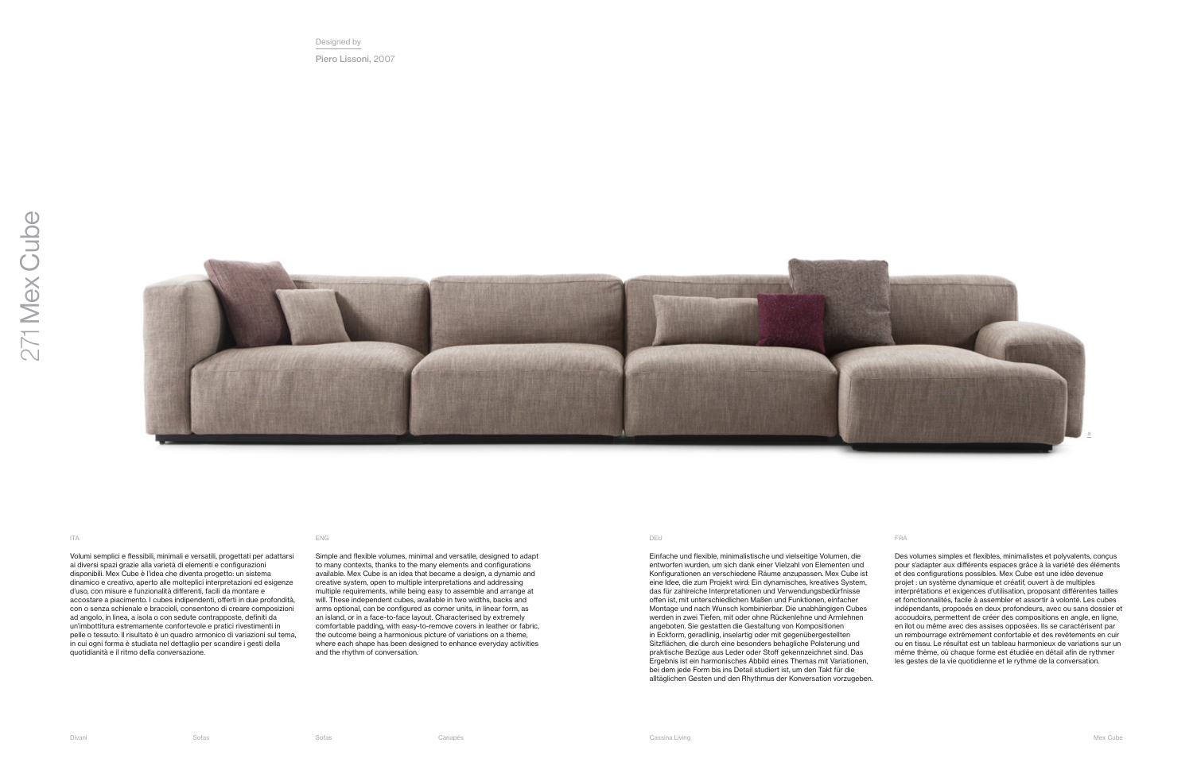

Volumi semplici e flessibili, minimali e versatili, progettati per adattarsi ai diversi spazi grazie alla varietà di elementi e configurazioni disponibili. Mex Cube è l'idea che diventa progetto: un sistema dinamico e creativo, aperto alle molteplici interpretazioni ed esigenze d'uso, con misure e funzionalità differenti, facili da montare e accostare a piacimento. I cubes indipendenti, offerti in due profondità, con o senza schienale e braccioli, consentono di creare composizioni ad angolo, in linea, a isola o con sedute contrapposte, definiti da un'imbottitura estremamente confortevole e pratici rivestimenti in pelle o tessuto. Il risultato è un quadro armonico di variazioni sul tema, in cui ogni forma è studiata nel dettaglio per scandire i gesti della quotidianità e il ritmo della conversazione.

Simple and flexible volumes, minimal and versatile, designed to adapt to many contexts, thanks to the many elements and configurations available. Mex Cube is an idea that became a design, a dynamic and creative system, open to multiple interpretations and addressing multiple requirements, while being easy to assemble and arrange at will. These independent cubes, available in two widths, backs and arms optional, can be configured as corner units, in linear form, as an island, or in a face-to-face layout. Characterised by extremely comfortable padding, with easy-to-remove covers in leather or fabric, the outcome being a harmonious picture of variations on a theme, where each shape has been designed to enhance everyday activities and the rhythm of conversation.

Einfache und flexible, minimalistische und vielseitige Volumen, die entworfen wurden, um sich dank einer Vielzahl von Elementen und Konfigurationen an verschiedene Räume anzupassen. Mex Cube ist eine Idee, die zum Projekt wird: Ein dynamisches, kreatives System, das für zahlreiche Interpretationen und Verwendungsbedürfnisse offen ist, mit unterschiedlichen Maßen und Funktionen, einfacher Montage und nach Wunsch kombinierbar. Die unabhängigen Cubes werden in zwei Tiefen, mit oder ohne Rückenlehne und Armlehnen angeboten. Sie gestatten die Gestaltung von Kompositionen in Eckform, geradlinig, inselartig oder mit gegenübergestellten Sitzflächen, die durch eine besonders behagliche Polsterung und praktische Bezüge aus Leder oder Stof gekennzeichnet sind. Das Ergebnis ist ein harmonisches Abbild eines Themas mit Variationen, bei dem jede Form bis ins Detail studiert ist, um den Takt für die alltäglichen Gesten und den Rhythmus der Konversation vorzugeben.

Des volumes simples et flexibles, minimalistes et polyvalents, conçus pour s'adapter aux différents espaces grâce à la variété des éléments et des configurations possibles. Mex Cube est une idée devenue projet : un système dynamique et créatif, ouvert à de multiples interprétations et exigences d'utilisation, proposant différentes tailles et fonctionnalités, facile à assembler et assortir à volonté. Les cubes indépendants, proposés en deux profondeurs, avec ou sans dossier et accoudoirs, permettent de créer des compositions en angle, en ligne, en îlot ou même avec des assises opposées. Ils se caractérisent par un rembourrage extrêmement confortable et des revêtements en cuir ou en tissu. Le résultat est un tableau harmonieux de variations sur un même thème, où chaque forme est étudiée en détail afin de rythmer les gestes de la vie quotidienne et le rythme de la conversation.

## ITA ENG DEU FRA

Designed by Piero Lissoni, 2007